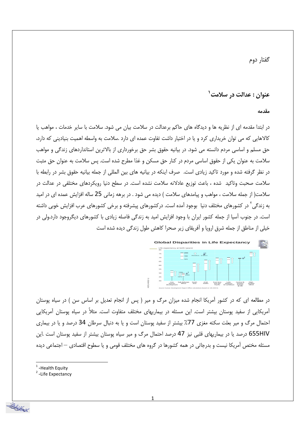گفتار دوم

## عنوان : عدالت در سلامت ٰ

مقدمه

در ابتدا مقدمه ای از نظریه ها و دیدگاه های حاکم برعدالت در سلامت بیان می شود. سلامت با سایر خدمات ، مواهب یا کالاهایی که می توان خریداری کرد و یا در اختیار داشت تفاوت عمده ای دارد .سلامت به واسطه اهمیت بنیادینی که دارد، حق مسلم و اساسی مردم دانسته می شود. در بیانیه حقوق بشر حق برخورداری از بالاترین استانداردهای زندگی و مواهب سلامت به عنوان یکی از حقوق اساسی مردم در کنار حق مسکن و غذا مطرح شده است. پس سلامت به عنوان حق مثبت در نظر گرفته شده و مورد تاکید زیادی است. صرف اینکه در بیانیه های بین المللی از جمله بیانیه حقوق بشر در رابطه با سلامت صحبت وتاکید شده ، باعث توزیع عادلانه سلامت نشده است. در سطح دنیا رویکردهای مختلفی در عدالت در سلامت( از جمله سلامت ، مواهب و پیامدهای سلامت ) دیده می شود . در برهه زمانی 25 ساله افزایش عمده ای در امید به زندگی<sup>۲</sup> در کشورهای مختلف دنیا بوجود آمده است. درکشورهای پیشرفته و برخی کشورهای عرب افزایش خوبی داشته است. در جنوب آسیا از جمله کشور ایران با وجود افزایش امید به زندگی فاصله زیادی با کشورهای دیگروجود دارد.ولی در خیلی از مناطق از جمله شرق اروپا و آفریقای زیر صحرا کاهش طول زندگی دیده شده است



در مطالعه ای که در کشور آمریکا انجام شده میزان مرگ و میر ( پس از انجام تعدیل بر اساس سن ) در سیاه پوستان آمریکایی از سفید پوستان بیشتر است. این مسئله در بیماریهای مختلف متفاوت است. مثلاً در سیاه پوستان آمریکایی احتمال مرگ و میر بعلت سکته مغزی 77٪ بیشتر از سفید پوستان است و یا به دنبال سرطان 34 درصد و یا در بیماری 655HIV درصد یا در بیماریهای قلبی نیز 47 درصد احتمال مرگ و میر سیاه پوستان بیشتر از سفید پوستان است .این مسئله مختص آمریکا نیست و بدرجاتی در همه کشورها در گروه های مختلف قومی و یا سطوح اقتصادی — اجتماعی دیده

- $<sup>1</sup>$ -Health Equity</sup>
- <sup>2</sup>-Life Expectancy

ان ديني بيراد<br>دانش بيونو شنگ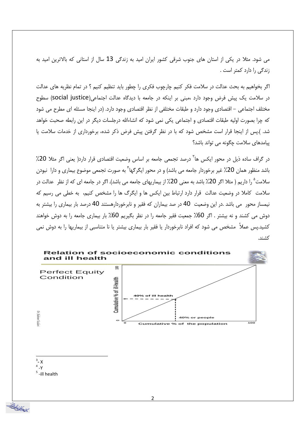می شود. مثلا در یکی از استان های جنوب شرقی کشور ایران امید به زندگی 13 سال از استانی که بالاترین امید به زندگی را دارد کمتر است .

اگر بخواهیم به بحث عدالت در سلامت فکر کنیم چارچوب فکری را چطور باید تنظیم کنیم ؟ در تمام نظریه های عدالت در سلامت یک پیش فرض وجود دارد ،مبنی بر اینکه در جامعه با دیدگاه عدالت اجتماعی(social justice) سطوح مختلف اجتماعی – اقتصادی وجود دارد و طبقات مختلفی از نظر اقتصادی وجود دارد. (در اینجا مسئله ای مطرح می شود که چرا بصورت اولیه طبقات اقتصادی و اجتماعی یکی نمی شود که انشاءالله درجلسات دیگر در این رابطه صحبت خواهد شد. ).یس از اینجا قرار است مشخص شود که با در نظر گرفتن پیش فرض ذکر شده، برخورداری از خدمات سلامت یا پیامدهای سلامت چگونه می تواند باشد؟

در گراف ساده ذیل در محور ایکس ها<sup>۳</sup> درصد تجمعی جامعه بر اساس وضعیت اقتصادی قرار دارد( یعنی اگر مثلا 20٪ باشد منظور همان 20٪ غیر برخوردار جامعه می باشد) و در محور ایگرگها ً به صورت تجمعی موضوع بیماری و دارا نبودن سلامت<sup>°</sup> را داریم ( مثلا اگر 20٪ باشد به معنی 20٪ از بیماریهای جامعه می باشد). اگر در جامعه ای که از نظر عدالت در سلامت کاملا در وضعیت عدالت قرار دارد ارتباط بین ایکس ها و ایگرگ ها را مشخص کنیم، به خطی می رسیم که نیمساز محور می باشد .در این وضعیت 40 در صد بیماران که فقیر و نابرخوردارهستند 40 درصد بار بیماری را بیشتر به دوش می کشند و نه بیشتر . اگر 60٪ جمعیت فقیر جامعه را در نظر بگیریم 60٪ بار بیماری جامعه را به دوش خواهند کشید.پس عملاً ۖ مشخص می شود که افراد نابرخوردار یا فقیر بار بیماری بیشتر یا نا متناسبی از بیماریها را به دوش نمی كشند.



- $3 X$
- $4 Y$

استر وسائط<br>استر عائضا تصنيف

<sup>5</sup>-ill health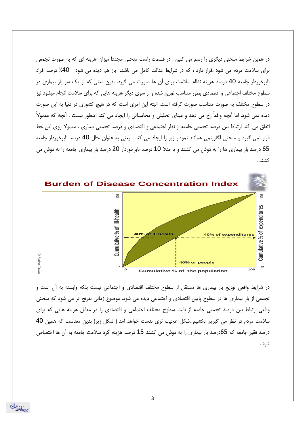در همین شرایط منحنی دیگری را رسم می کنیم . در قسمت راست منحنی مجددا میزان هزینه ای که به صورت تجمعی برای سلامت مردم می شود ،قرار دارد ، که در شرایط عدالت کامل می باشد. باز هم دیده می شود ۔40٪ درصد افراد نابرخوردار جامعه 40 درصد هزینه نظام سلامت برای آن ها صورت می گیرد. بدین معنی که از یک سو بار بیماری در سطوح مختلف اجتماعی و اقتصادی بطور متناسب توزیع شده و از سوی دیگر هزینه هایی که برای سلامت انجام میشود نیز در سطوح مختلف به صورت متناسب صورت گرفته است. البته این امری است که در هیچ کشوری در دنیا به این صورت دیده نمی شود. اما آنچه واقعاً رخ می دهد و مبنای تحلیلی و محاسباتی را ایجاد می کند اینطور نیست . آنچه که معمولاً اتفاق می افتد ارتباط بین درصد تجمعی جامعه از نظر اجتماعی و اقتصادی و درصد تجمعی بیماری ، معمولا روی این خط قرار نمی گیرد و منحنی لگاریتمی همانند نمودار زیر را ایجاد می کند . یعنی به عنوان مثال 40 درصد نابرخوردار جامعه 65 درصد بار بیماری ها را به دوش می کشند و یا مثلا 10 درصد نابرخوردار 20 درصد بار بیماری جامعه را به دوش می كشند .



در شرایط واقعی توزیع بار بیماری ها مستقل از سطوح مختلف اقتصادی و اجتماعی نیست بلکه وابسته به آن است و تجمعی از بار بیماری ها در سطوح پایین اقتصادی و اجتماعی دیده می شود. موضوع زمانی بغرنج تر می شود که منحنی واقعی ارتباط بین درصد تجمعی جامعه از بابت سطوح مختلف اجتماعی و اقتصادی را در مقابل هزینه هایی که برای سلامت مردم در نظر می گیریم بکشیم .شکل عجیب تری بدست خواهد آمد ( شکل زیر) بدین معناست که همین 40 درصد فقیر جامعه که 65درصد بار بیماری را به دوش می کشند 15 درصد هزینه کرد سلامت جامعه به آن ها اختصاص دارد .

з

سريز پيداند.<br>دانشماند و ترکيب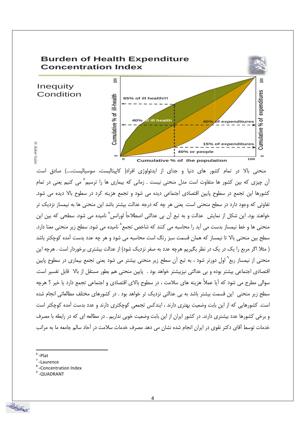

منحنی بالا در تمام کشور های دنیا و جدای از ایدئولوژی افراد( کاپیتالیست، سوسیالیست،....) صادق است. آن چیزی که بین کشور ها متفاوت است مدل منحنی نیست . زمانی که بیماری ها را ترسیم ؑ می کنیم یعنی در تمام کشورها این تجمع در سطوح پایین اقتصادی اجتماعی دیده می شود و تجمع هزینه کرد در سطوح بالا دیده می شود. تفاوتی که وجود دارد در سطح منحنی است. یعنی هر چه که درجه عدالت بیشتر باشد این منحنی ها به نیمساز نزدیک تر خواهند بود. این شکل از نمایش عدالت و به تبع اَن بی عدالتی اصطلاحاً لورانس<sup>٬</sup> نامیده می شود. سطحی که بین این منحنی ها و خط نیمساز بدست می آید را محاسبه می کنند که شاخص تجمع^نامیده می شود. سطح زیر منحنی معنا دارد. سطح بین منحنی بالا تا نیمساز که همان قسمت سبز رنگ است محاسبه می شود و هر چه عدد بدست آمده کوچکتر باشد ( مثلا اگر مربع را یک در یک در نظر بگیریم هرچه عدد به صفر نزدیک شود) از عدالت بیشتری برخوردار است . هرچه این منحنی از نیمساز ربع` اول دورتر شود ، به تبع اًن سطح زیر منحنی بیشتر می شود یعنی تجمع بیماری در سطوح پایین اقتصادی اجتماعی بیشتر بوده و بی عدالتی نیزبیشتر خواهد بود . پایین منحنی هم بطور مستقل از بالا قابل تفسیر است. سوالي مطرح مي شود كه آيا عملاً هزينه هاي سلامت ، در سطوح بالاي اقتصادي و اجتماعي تجمع دارد يا خير ؟ هرچه سطح زیر منحنی ِ این قسمت بیشتر باشد به بی عدالتی نزدیک تر خواهد بود . در کشورهای مختلف مطالعاتی انجام شده است. کشورهایی که از این بابت وضعیت بهتری دارند ، ایندکس تجمعی کوچکتری دارند و عدد بدست آمده کوچکتر است و برخی کشورها عدد بیشتری دارند. در کشور ایران از این بابت وضعیت خوبی نداریم . در مطالعه ای که در رابطه با مصرف خدمات توسط آقای دکتر نقوی در ایران انجام شده نشان می دهد مصرف خدمات سلامت در آحاد سالم جامعه ما به مراتب

 $6$ -Plat

است و ساتھ<br>ات میں تحصیل

Dr. Shahram

Yazıla

- $7$ -Laurence
- <sup>8</sup>-Concentration Index
- <sup>9</sup>-QUADRANT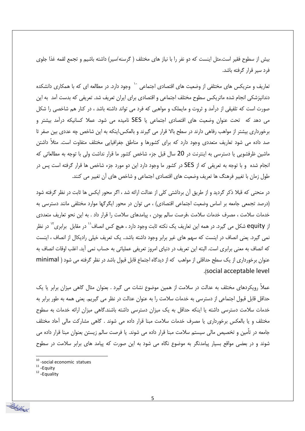بیش از سطوح فقیر است.مثل اینست که دو نفر را با نیاز های مختلف ( گرسنه/سیر) داشته باشیم و تجمع لقمه غذا جلوی فرد سیر قرار گرفته باشد.

تعاریف و متریکس های مختلفی از وضعیت های اقتصادی اجتماعی <sup>۱۰</sup> وجود دارد. در مطالعه ای که با همکاری دانشکده دندانپزشکی انجام شده ماتریکس سطوح مختلف اجتماعی و اقتصادی برای ایران تعریف شد. تعریفی که بدست آمد به این صورت است که تلفیقی از درآمد و ثروت و مایملک و مواهبی که فرد می تواند داشته باشد ، در کنار هم شاخصی را شکل می دهد که تحت عنوان وضعیت های اقتصادی اجتماعی یا SES نامیده می شود. عملاً کسانیکه درآمد بیشتر و برخورداری بیشتر از مواهب رفاهی دارند در سطح بالا قرار می گیرند و بالعکس.اینکه به این شاخص چه عددی بین صفر تا صد داده می شود تعاریف متعددی وجود دارد که برای کشورها و مناطق جغرافیایی مختلف متفاوت است. مثلاً داشتن ماشین ظرفشویی یا دسترسی به اینترنت در 20 سال قبل جزء شاخص کشور ما قرار نداشت ولی با توجه به مطالعاتی که انجام شده و با توجه به تعریفی که از SES در کشور ما وجود دارد این دو مورد جزء شاخص ها قرار گرفته است پس در طول زمان با تغییر فرهنگ ها تعریف وضعیت های اقتصادی اجتماعی و شاخص های آن تغییر می کنند.

در منحنی که قبلا ذکر گردید و از طریق آن برداشتی کلی از عدالت ارائه شد ، اگر محور ایکس ها ثابت در نظر گرفته شود (درصد تجمعی جامعه بر اساس وضعیت اجتماعی اقتصادی) ، می توان در محور ایگرگها موارد مختلفی مانند دسترسی به خدمات سلامت ، مصرف خدمات سلامت ،فرصت سالم بودن ، پیامدهای سلامت را قرار داد . به این نحو تعاریف متعددی از equity شکل می گیرد. در همه این تعاریف یک نکته ثابت وجود دارد ، هیچ کس انصاف'` در مقابل برابری'` در نظر نمی گیرد. یعنی انصاف در اینست که سهم های غیر برابر وجود داشته باشد.. یک تعریف خیلی رادیکال از انصاف ، اینست كه انصاف به معنى برابري است. البته اين تعريف در دنياي امروز تعريفي عملياتي به حساب نمي آيد. اغلب اوقات انصاف به عنوان برخورداری از یک سطح حداقلی از مواهب که از دیدگاه اجتماع قابل قبول باشد در نظر گرفته می شود ( minimal (social acceptable level).

عملاً رویکردهای مختلف به عدالت در سلامت از همین موضوع نشات می گیرد . بعنوان مثال گاهی میزان برابر یا یک حداقل قابل قبول اجتماعی از دسترسی به خدمات سلامت را به عنوان عدالت در نظر می گیریم. یعنی همه به طور برابر به خدمات سلامت دسترسی داشته یا اینکه حداقل به یک میزان دسترسی داشته باشند.گاهی میزان ارائه خدمات به سطوح مختلف و یا بالعکس برخورداری یا مصرف خدمات سلامت مبنا قرار داده می شوند . گاهی مشارکت مالی احاد مختلف جامعه در تأمین و تخصیص مالی سیستم سلامت مبنا قرار داده می شوند. یا فرصت سالم زیستن بعنوان مبنا قرار داده می شوند و در بعضی مواقع بسیار پیامدنگر به موضوع نگاه می شود به این صورت که پیامد های برابر سلامت در سطوح

 $10$  -social economic statues

 $11 -$ Equity

<sup>&</sup>lt;sup>12</sup>-Equality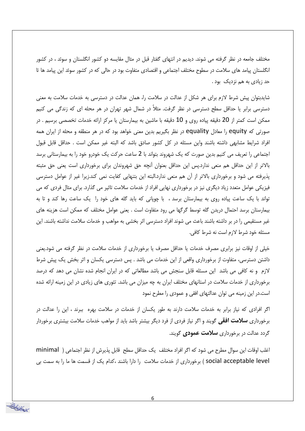مختلف جامعه در نظر گرفته می شوند. دیدیم در انتهای گفتار قبل در مثال مقایسه دو کشور انگلستان و سوئد ، در کشور انگلستان پیامد های سلامت در سطوح مختلف اجتماعی و اقتصادی متفاوت بود در حالی که در کشور سوئد این پیامد ها تا حد زیادی به هم نزدیک بود .

شایدبتوان پیش شرط لازم برای هر شکل از عدالت در سلامت را، همان عدالت در دسترسی به خدمات سلامت به معنی دسترسی برابر یا حداقل سطح دسترسی در نظر گرفت. مثلاً در شمال شهر تهران در هر محله ای که زندگی می کنیم ممکن است کمتر از 20 دقیقه پیاده روی و 10 دقیقه با ماشین به بیمارستان یا مرکز ارائه خدمات تخصصی برسیم . در صورتی که equity را معادل equality در نظر بگیریم بدین معنی خواهد بود که در هر منطقه و محله از ایران همه افراد شرايط مشابهي داشته باشند واين مسئله در كل كشور صادق باشد كه البته غير ممكن است . حداقل قابل قبول اجتماعی را تعریف می کنیم بدین صورت که یک شهروند بتواند با 2 ساعت حرکت یک خودرو خود را به بیمارستانی برسد بالاتر از این حداقل هم منعی ندارد.پس این حداقل بعنوان آنچه حق شهروندان برای برخورداری است یعنی حق مثبته پذیرفته می شود و برخورداری بالاتر از آن هم منعی ندارد.البته این بتنهایی کفایت نمی کند.زیرا غیر از عوامل دسترسی فیزیکی عوامل متعدد زیاد دیگری نیز در برخورداری نهایی افراد از خدمات سلامت تاثیر می گذارد. برای مثال فردی که می تواند با یک ساعت پیاده روی به بیمارستان برسد ، با چوپانی که باید گله های خود را یک ساعت رها کند و تا به بیمارستان برسد احتمال دریدن گله توسط گرگها می رود متفاوت است . یعنی عوامل مختلف که ممکن است هزینه های غیر مستقیمی را در بر داشته باشند باعث می شوند افراد دسترسی اثر بخشی به مواهب و خدمات سلامت نداشته باشند. این مسئله خود شرط لازم است نه شرط کافی.

خیلی از اوقات نیز برابری مصرف خدمات یا حداقل مصرف یا برخورداری از خدمات سلامت در نظر گرفته می شود.یعنی داشتن دسترسی، متفاوت از برخورداری واقعی از این خدمات می باشد . پس دسترسی یکسان و اثر بخش یک پیش شرط لازم و نه کافی می باشد این مسئله قابل سنجش می باشد مطالعاتی که در ایران انجام شده نشان می دهد که درصد برخورداری از خدمات سلامت در استانهای مختلف ایران به چه میزان می باشد. تئوری های زیادی در این زمینه ارائه شده است.در این زمینه می توان عدالتهای افقی و عمودی را مطرح نمود

اگر افرادی که نیاز برابر به خدمات سلامت دارند به طور یکسان از خدمات در سلامت بهره ببرند ، این را عدالت در برخورداری **سلامت افقی** گویند و اگر نیاز فردی از فرد دیگر بیشتر باشد باید از مواهب خدمات سلامت بیشتری برخوردار گردد عدالت در برخورداری **سلامت عمودی** گویند.

اغلب اوقات این سوال مطرح می شود که اگر افراد مختلف یک حداقل سطح قابل پذیرش از نظر اجتماعی ( minimal social acceptable level ) برخورداری از خدمات سلامت را دارا باشند ،كدام یک از قسمت ها ما را به سمت بی

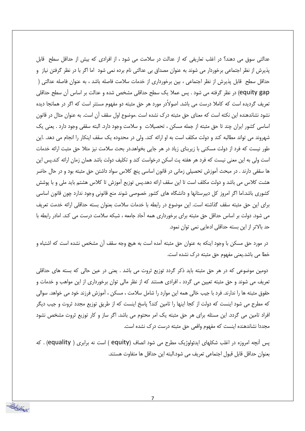عدالتی سوق می دهند؟ در اغلب تعاریفی که از عدالت در سلامت می شود ، از افرادی که بیش از حداقل سطح ً قابل پذیرش از نظر اجتماعی برخوردار می شوند به عنوان مصداق بی عدالتی نام برده نمی شود اما اگر با در نظر گرفتن نیاز و حداقل سطح قابل پذیرش از نظر اجتماعی ، بین برخورداری از خدمات سلامت فاصله باشد ، به عنوان فاصله عدالتی ( equity gap) در نظر گرفته می شود . پس عملا یک سطح حداقلی مشخص شده و عدالت بر اساس آن سطح حداقلی تعریف گردیده است که کاملا درست می باشد. اصولاًدر مورد هر حق مثبته دو مفهوم مستتر است که اگر در همانجا دیده نشود نشاندهنده این نکته است که معنای حق مثبته درک نشده است .موضوع اول سقف آن است. به عنوان مثال در قانون اساسی کشور ایران چند تا حق مثبته از جمله مسکن ، تحصیلات و سلامت وجود دارد. البته سقفی وجود دارد . یعنی یک شهروند می تواند مطالبه کند و دولت مکلف است به او ارائه کند. ولی در محدوده یک سقف اینکار را انجام می دهد. .این طور نیست که فرد از دولت مسکنی با زیربنای زیاد در هر جایی بخواهد.در بحث سلامت نیز مثلا حق مثبت ارائه خدمات است ولی به این معنی نیست که فرد هر هفته پت اسکن درخواست کند و تکلیف دولت باشد همان زمان ارائه کند.پس این ها سقفی دارند . در مبحث آموزش تحصیلی زمانی در قانون اساسی پنچ کلاس سواد داشتن حق مثبته بود و در حال حاضر هشت کلاس می باشد و دولت مکلف است تا این سقف ارائه دهد.پس توزیع آموزش تا کلاس هشتم باید ملی و با پوشش کشوری باشد.اما اگر امروز کل دبیرستانها و دانشگاه های کشور خصوصی شوند منع قانونی وجود ندارد چون قانون اساسی برای این حق مثبته سقف گذاشته است. این موضوع در رابطه با خدمات سلامت بعنوان بسته حداقلی ارائه خدمت تعریف می شود. دولت بر اساس حداقل حق مثبته برای برخورداری همه آحاد جامعه ، شبکه سلامت درست می کند. امادر رابطه با حد بالاتر از این بسته حداقلی ادعایی نمی توان نمود.

در مورد حق مسکن با وجود اینکه به عنوان حق مثبته آمده است به هیچ وجه سقف آن مشخص نشده است که اشتباه و خطا می باشد.یعنی مفهوم حق مثبته درک نشده است.

دومین موضوعی که در هر حق مثبته باید ذکر گردد توزیع ثروت می باشد . یعنی در عین حالی که بسته های حداقلی تعریف می شوند و حق مثبته تعیین می گردد ، افرادی هستند که از نظر مالی توان برخورداری از این مواهب و خدمات و حقوق مثبته ها را ندارند. فرد با جیب خالی همه این موارد را شامل سلامت ، مسکن ، آموزش فرزند خود می خواهد. سوالی که مطرح می شود اینست که دولت از کجا اینها را تامین کند؟ پاسخ اینست که از طریق توزیع مجدد ثروت و جیب دیگر افراد تامین می گردد. این مسئله برای هر حق مثبته یک امر محتوم می باشد. اگر ساز و کار توزیع ثروت مشخص نشود مجددا نشاندهنده اینست که مفهوم واقعی حق مثبته درست درک نشده است.

پس انچه امروزه در اغلب شکلهای ایدئولوژیک مطرح می شود انصاف (equity ) است نه برابری ( equality) . که بعنوان حداقل قابل قبول اجتماعي تعريف مي شود.البته اين حداقل ها متفاوت هستند.

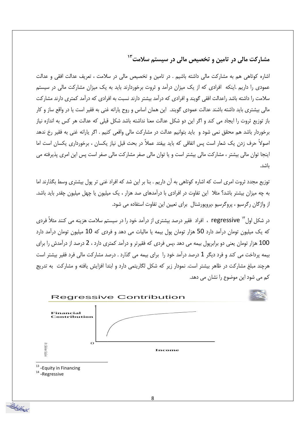مشارکت مالی در تامین و تخصیص مالی در سیستم سلامت<sup>۱۳</sup>

اشاره کوتاهی هم به مشارکت مالی داشته باشیم . در تامین و تخصیص مالی در سلامت ، تعریف عدالت افقی و عدالت عمودی را داریم .اینکه افرادی که از یک میزان درآمد و ثروت برخوردارند باید به یک میزان مشارکت مالی در سیستم سلامت را داشته باشد راعدالت افقی گویند و افرادی که درآمد بیشتر دارند نسبت به افرادی که درآمد کمتری دارند مشارکت مالي بيشتري بايد داشته باشند عدالت عمودي گويند. اين همان اساس و روح پارانه غني به فقير است يا در واقع ساز و كار باز توزیع ثروت را ایجاد می کند و اگر این دو شکل عدالت معنا نداشته باشد شکل قبلی که عدالت هر کس به اندازه نیاز برخوردار باشد هم محقق نمی شود و باید بتوانیم عدالت در مشارکت مالی واقعی کنیم . اگر پارانه غنی به فقیر رخ ندهد اصولاً حرف زدن یک شعار است پس اتفاقی که باید بیفتد عملاً در بحث قبل نیاز یکسان ، برخورداری یکسان است اما اینجا توان مالی بیشتر ، مشارکت مالی بیشتر است و یا توان مالی صفر مشارکت مالی صفر است پس این امری پذیرفته می ىاشد.

توزیع مجدد ثروت امری است که اشاره کوتاهی به آن داریم . بنا بر این شد که افراد غنی تر پول بیشتری وسط بگذارند اما به چه میزان بیشتر باشد؟ مثلا این تفاوت در افرادی با درآمدهای صد هزار ، یک میلیون یا چهل میلیون چقدر باید باشد. از واژگان رگرسیو ، پروگرسیو ،پروپورشنال برای تعیین این تفاوت استفاده می شود.

در شکل اول "`` regressive ، افراد فقیر درصد بیشتری از درآمد خود را در سیستم سلامت هزینه می کنند مثلاً فردی که یک میلیون تومان درآمد دارد 50 هزار تومان پول بیمه یا مالیات می دهد و فردی که 10 میلیون تومان درآمد دارد 100 هزار تومان یعنی دو برابریول بیمه می دهد ،پس فردی که فقیرتر و درآمد کمتری دارد ، 2 درصد از درآمدش را برای بیمه پرداخت می کند و فرد دیگر 1 درصد درآمد خود را برای بیمه می گذارد . درصد مشارکت مالی فرد فقیر بیشتر است هرچند مبلغ مشارکت در ظاهر بیشتر است. نمودار زیر که شکل لگاریتمی دارد و ابتدا افزایش یافته و مشارکت ً به تدریج کم می شود این موضوع را نشان می دهد.



8

سىز بېرىتى ئېلگىز<br>دائىرىيى كىشى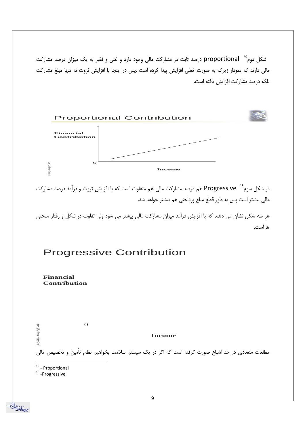شکل دوم<sup>۱۵</sup> proportional درصد ثابت در مشارکت مالی وجود دارد و غنی و فقیر به یک میزان درصد مشارکت مالی دارند که نمودار زیرکه به صورت خطی افزایش پیدا کرده است .پس در اینجا با افزایش ثروت نه تنها مبلغ مشارکت بلكه درصد مشاركت افزايش يافته است.



در شکل سوم<sup>۱۶</sup> Progressive هم درصد مشارکت مالی هم متفاوت است که با افزایش ثروت و درآمد درصد مشارکت مالی بیشتر است پس به طور قطع مبلغ پرداختی هم بیشتر خواهد شد.

هر سه شکل نشان می دهند که با افزایش درآمد میزان مشارکت مالی بیشتر می شود ولی تفاوت در شکل و رفتار منحنی ها است.

## **Progressive Contribution**

**Financial Contribution** 

 $\mathbf{O}$ Dr. Shahram Yazdar **Income** مطلعات متعددی در حد اشباع صورت گرفته است که اگر در یک سیستم سلامت بخواهیم نظام تأمین و تخصیص مالی

<sup>15</sup> - Proportional

 $16$ -Progressive

سينغ بين توسيلا<br>دانشمان توسيلا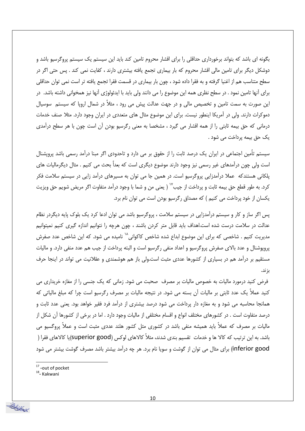بگونه ای باشد که بتواند برخورداری حداقلی را برای اقشار محروم تامین کند باید این سیستم یک سیستم پروگرسیو باشد و دوشکل دیگر برای تامین مالی اقشار محروم که بار بیماری تجمع یافته بیشتری دارند ، کفایت نمی کند . پس حتی اگر در سطح متناسب هم از اغنیا گرفته و به فقرا داده شود ، چون بار بیماری در قسمت فقرا تجمع یافته تر است نمی توان حداقلی برای آنها تامین نمود . در سطح نظری همه این موضوع را می دانند ولی باید با ایدئولوژی آنها نیز همخوانی داشته باشد. در این صورت به سمت تامین و تخصیص مالی و در جهت عدالت پیش می رود ، مثلاً در شمال اروپا که سیستم سوسیال دموکرات دارند. ولی در آمریکا اینطور نیست. برای این موضوع مثال های متعددی در ایران وجود دارد. مثلا صنف خدمات درمانی که حق بیمه ثابتی را از همه اقشار می گیرد ، مشخصا به معنی رگرسیو بودن آن است چون با هر سطح درآمدی یک حق بیمه پرداخت می شود .

سیستم تأمین اجتماعی در ایران یک درصد ثابت را از حقوق بر می دارد و تاحدودی اگر مبنا درآمد رسمی باشد پرویشنال است ولي چون درآمدهاي غير رسمي نيز وجود دارند موضوع ديگري است كه بعداً بحث مي كنيم . مثال ديگرماليات هاي پلکانی هستندکه عملا درآمدزایی پروگرسیو است. در همین جا می توان به مسیرهای درآمد زایی در سیستم سلامت فکر کرد. به طور قطع حق بیمه ثابت و پرداخت از جیب<sup>۷٬</sup> ( یعنی من و شما با وجود درآمد متفاوت اگر مریض شویم حق ویزیت یکسان از خود پرداخت می کنیم ) که مصداق رگرسیو بودن است می توان نام برد.

پس اگر ساز و کار و سیستم درآمدزایی در سیستم سلامت ، پروگرسیو باشد می توان ادعا کرد یک بلوک پایه دیگردر نظام عدالت در سلامت درست شده است.اهداف باید قابل متر کردن باشند ، چون هرچه را نتوانیم اندازه گیری کنیم نمیتوانیم مدیریت کنیم . شاخصی که برای این موضوع ابداع شده شاخص کاکوانی^` نامیده می شود. که این شاخص عدد صفرش پروپوشنال و عدد بالای صفرش پروگرسیو و اعداد منفی رگرسیو است و البته پرداخت از جیب هم عدد منفی دارد. و مالیات مستقیم بر درآمد هم در بسیاری از کشورها عددی مثبت است.ولی باز هم هوشمندی و عقلانیت می تواند در اینجا حرف بزند.

فرض کنید درمورد مالیات به خصوص مالیات بر مصرف حمحبت می شود. زمانی که یک جنسی را از مغازه خریداری می کنید عملاً یک عدد ثابتی بر مالیات اُن بسته می شود. در نتیجه مالیات بر مصرف رگرسیو است چرا که مبلغ مالیاتی که همانجا محاسبه می شود و به مغازه دار پرداخت می شود درصد بیشتری از درآمد فرد فقیر خواهد بود. یعنی عدد ثابت و درصد متفاوت است . در کشورهای مختلف انواع و اقسام مختلفی از مالیات وجود دارد . اما در برخی از کشورها آن شکل از مالیات بر مصرف که عملاً باید همیشه منفی باشد در کشوری مثل کشور هلند عددی مثبت است و عملاً پروگسیو می باشد. به این ترتیب که کالا ها و خدمات تقسیم بندی شدند، مثلاً کالاهای لوکس (superior good)یا کالاهای فقرا ( inferior good) برای مثال می توان از گوشت و سویا نام برد. هر چه درآمد بیشتر باشد مصرف گوشت بیشتر می شود

 $17$ -out of pocket

<sup>18</sup>- Kakwani

سريز ميتون<br>دانش ميتون تحصيل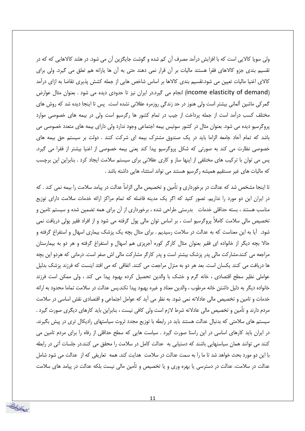ولی سویا کالایی است که با افزایش درآمد مصرف آن کم شده و گوشت جایگزین آن می شود. در هلند کالاهایی که که در تقسیم بندی جزو کالاهای فقرا هستند مالیات بر آن قرار نمی دهند حتی به آن ها پارانه هم تعلق می گیرد. ولی برای کالای اغنیا مالیات تعیین می شود.تقسیم بندی کالاها بر اساس شاخص هایی از جمله کشش پذیری تقاضا به ازای درآمد (income elasticity of demand) انجام می گیرد.در ایران نیز تا حدودی دیده می شود . بعنوان مثال عوارض گمرکی ماشین آلمانی بیشتر است ولی هنوز در حد زندگی روزمره عقلانی نشده است. پس تا اینجا دیده شد که روش های مختلف کسب درآمد است از جمله پرداخت از جیب در تمام کشور ها رگرسیو است ولی در بیمه های خصوصی موارد پروگرسیو دیده می شود. بعنوان مثال در کشور سوئیس بیمه اجتماعی وجود ندارد ولی دارای بیمه های متعدد خصوصی می باشد که تمام آحاد جامعه الزاما باید در یک صندوق مشترک بیمه ای شرکت کنند . دولت بر سیستم حق بیمه های خصوصی نظارت می کند به صورتی که شکل پروگرسیو پیدا کند یعنی بیمه خصوصی از اغنیا بیشتر از فقرا می گیرد. پس می توان با ترکیب های مختلفی از اینها ساز و کاری عقلانی برای سیستم سلامت ایجاد کرد . بنابراین این برچسب كه ماليات هاي غير مستقيم هميشه ركرسيو هستند مي تواند استثناء هايي داشته باشد .

تا اینجا مشخص شد که عدالت در برخورداری و تأمین و تخصیص مالی الزاماً عدالت در پیامد سلامت را بیمه نمی کند . که در ایران این دو مورد را نداریم. تصور کنید که اگر یک مدینه فاضله که تمام مراکز ارائه خدمات سلامت دارای توزیع مناسب هستند ، بسته حداقلی خدمات بدرستی طراحی شده ، برخورداری از آن برای همه تضمین شده و سیستم تامین و تخصیص مالی سلامت کاملاً پروگرسیو است ، بر اساس توان مالی پول گرفته می شود و از افراد فقیر پولی دریافت نمی شود. آیا به این معناست که به عدالت در سلامت رسیدیم . برای مثال بچه یک پزشک بیماری اسهال و استفراغ گرفته و حالا بچه دیگر از خانواده ای فقیر بعنوان مثال کارگر کوره آجرپزی هم اسهال و استفراغ گرفته و هر دو به بیمارستان مراجعه می کنند.مشارکت مالی پدر پزشک بیشتر است و پدر کارگر مشارکت مالی اش صفر است. درمانی که هردو این بچه ها دریافت می کنند یکسان است. بعد هر دو به منزل مراجعت می کنند. اتفاقی که می افتد اینست که فرزند پزشک بدلیل عواملي نظير سطح اقتصادي ، خانه گرم و خشک با والدين تحصيل کرده بهبود پيدا مي کند ، ولي ممکن است فرزند خانواده دیگر به دلیل داشتن خانه مرطوب ، والدین معتاد و غیره بهبود پیدا نکند.پس عدالت در سلامت تماما محدود به ارائه خدمات و تامین و تخصیص مالی عادلانه نمی شود. به نظر می آید که عوامل اجتماعی و اقتصادی نقش اساسی در سلامت مردم دارند و تامین و تخصیص مالی عادلانه شرط لازم است ولی کافی نیست ، بنابراین باید کارهای دیگری صورت گیرد . سیستم های سلامتی که بدنبال عدالت هستند باید در رابطه با توزیع مجدد ثروت سیاستهای رادیکال تری در پیش بگیرند. در ایران باید کارهای اساسی در این راستا صورت گیرد . سیاست هایی که سطح حداقلی از رفاه را برای مردم تامین می کنند می توانند همان سیاستهایی باشند که دستیابی به عدالت کامل در سلامت را محقق می کنند.در جلسات آتی در رابطه با این دو مورد بحث خواهد شد تا ما را به سمت عدالت در سلامت هدایت کند. همه تعاریفی که از عدالت می شود شامل عدالت در سلامت، عدالت در دسترسی یا بهره وری و یا تخصیص و تأمین مالی نیست بلکه عدالت در پیامد های سلامت